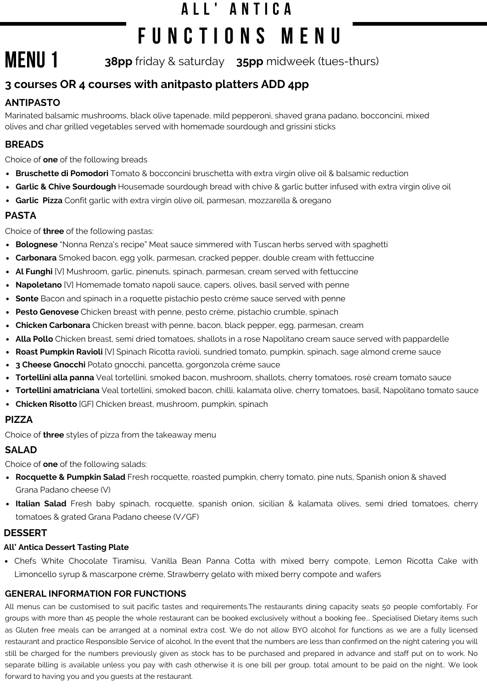# **A L L ' A N T I C A F U N C T I O N S M E N U**

**MENU 1 38pp** friday & saturday **35pp** midweek (tues-thurs)

# **3 courses OR 4 courses with anitpasto platters ADD 4pp**

# **ANTIPASTO**

Marinated balsamic mushrooms, black olive tapenade, mild pepperoni, shaved grana padano, bocconcini, mixed olives and char grilled vegetables served with homemade sourdough and grissini sticks

# **BREADS**

Choice of **one** of the following breads

- **Bruschette di Pomodori** Tomato & bocconcini bruschetta with extra virgin olive oil & balsamic reduction
- **Garlic & Chive Sourdough** Housemade sourdough bread with chive & garlic butter infused with extra virgin olive oil
- **Garlic Pizza** Confit garlic with extra virgin olive oil, parmesan, mozzarella & oregano

### **PASTA**

Choice of **three** of the following pastas:

- **Bolognese** "Nonna Renza's recipe" Meat sauce simmered with Tuscan herbs served with spaghetti
- **Carbonara** Smoked bacon, egg yolk, parmesan, cracked pepper, double cream with fettuccine
- **Al Funghi** [V] Mushroom, garlic, pinenuts, spinach, parmesan, cream served with fettuccine
- **Napoletano** [V] Homemade tomato napoli sauce, capers, olives, basil served with penne
- **Sonte** Bacon and spinach in a roquette pistachio pesto crème sauce served with penne
- **Pesto Genovese** Chicken breast with penne, pesto crème, pistachio crumble, spinach
- **Chicken Carbonara** Chicken breast with penne, bacon, black pepper, egg, parmesan, cream
- **Alla Pollo** Chicken breast, semi dried tomatoes, shallots in a rose Napolitano cream sauce served with pappardelle
- **Roast Pumpkin Ravioli** [V] Spinach Ricotta ravioli, sundried tomato, pumpkin, spinach, sage almond creme sauce
- **3 Cheese Gnocchi** Potato gnocchi, pancetta, gorgonzola crème sauce
- **Tortellini alla panna** Veal tortellini, smoked bacon, mushroom, shallots, cherry tomatoes, rosé cream tomato sauce
- **Tortellini amatriciana** Veal tortellini, smoked bacon, chilli, kalamata olive, cherry tomatoes, basil, Napolitano tomato sauce
- **Chicken Risotto** [GF] Chicken breast, mushroom, pumpkin, spinach

### **PIZZA**

Choice of **three** styles of pizza from the takeaway menu

# **SALAD**

Choice of **one** of the following salads:

- **Rocquette & Pumpkin Salad** Fresh rocquette, roasted pumpkin, cherry tomato, pine nuts, Spanish onion & shaved Grana Padano cheese (V)
- **Italian Salad** Fresh baby spinach, rocquette, spanish onion, sicilian & kalamata olives, semi dried tomatoes, cherry tomatoes & grated Grana Padano cheese (V/GF)

### **DESSERT**

#### **All' Antica Dessert Tasting Plate**

Chefs White Chocolate Tiramisu, Vanilla Bean Panna Cotta with mixed berry compote, Lemon Ricotta Cake with Limoncello syrup & mascarpone crème, Strawberry gelato with mixed berry compote and wafers

### **GENERAL INFORMATION FOR FUNCTIONS**

All menus can be customised to suit pacific tastes and requirements.The restaurants dining capacity seats 50 people comfortably. For groups with more than 45 people the whole restaurant can be booked exclusively without a booking fee... Specialised Dietary items such as Gluten free meals can be arranged at a nominal extra cost. We do not allow BYO alcohol for functions as we are a fully licensed restaurant and practice Responsible Service of alcohol. In the event that the numbers are less than confirmed on the night catering you will still be charged for the numbers previously given as stock has to be purchased and prepared in advance and staff put on to work. No separate billing is available unless you pay with cash otherwise it is one bill per group, total amount to be paid on the night.. We look forward to having you and you guests at the restaurant.